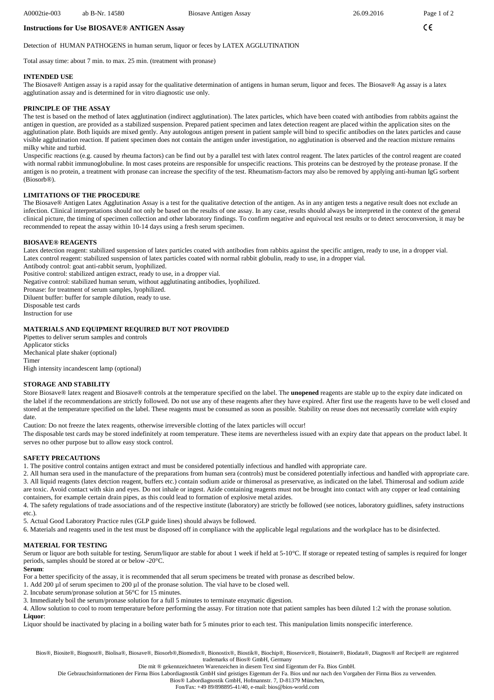$\epsilon$ 

# Detection of HUMAN PATHOGENS in human serum, liquor or feces by LATEX AGGLUTINATION

Total assay time: about 7 min. to max. 25 min. (treatment with pronase)

**Instructions for Use BIOSAVE® ANTIGEN Assay** 

# **INTENDED USE**

The Biosave® Antigen assay is a rapid assay for the qualitative determination of antigens in human serum, liquor and feces. The Biosave® Ag assay is a latex agglutination assay and is determined for in vitro diagnostic use only.

## **PRINCIPLE OF THE ASSAY**

The test is based on the method of latex agglutination (indirect agglutination). The latex particles, which have been coated with antibodies from rabbits against the antigen in question, are provided as a stabilized suspension. Prepared patient specimen and latex detection reagent are placed within the application sites on the agglutination plate. Both liquids are mixed gently. Any autologous antigen present in patient sample will bind to specific antibodies on the latex particles and cause visible agglutination reaction. If patient specimen does not contain the antigen under investigation, no agglutination is observed and the reaction mixture remains milky white and turbid.

Unspecific reactions (e.g. caused by rheuma factors) can be find out by a parallel test with latex control reagent. The latex particles of the control reagent are coated with normal rabbit immunoglobuline. In most cases proteins are responsible for unspecific reactions. This proteins can be destroyed by the protease pronase. If the antigen is no protein, a treatment with pronase can increase the specifity of the test. Rheumatism-factors may also be removed by applying anti-human IgG sorbent (Biosorb®).

## **LIMITATIONS OF THE PROCEDURE**

The Biosave® Antigen Latex Agglutination Assay is a test for the qualitative detection of the antigen. As in any antigen tests a negative result does not exclude an infection. Clinical interpretations should not only be based on the results of one assay. In any case, results should always be interpreted in the context of the general clinical picture, the timing of specimen collection and other laboratory findings. To confirm negative and equivocal test results or to detect seroconversion, it may be recommended to repeat the assay within 10-14 days using a fresh serum specimen.

#### **BIOSAVE® REAGENTS**

Latex detection reagent: stabilized suspension of latex particles coated with antibodies from rabbits against the specific antigen, ready to use, in a dropper vial. Latex control reagent: stabilized suspension of latex particles coated with normal rabbit globulin, ready to use, in a dropper vial.

Antibody control: goat anti-rabbit serum, lyophilized.

Positive control: stabilized antigen extract, ready to use, in a dropper vial.

Negative control: stabilized human serum, without agglutinating antibodies, lyophilized.

Pronase: for treatment of serum samples, lyophilized.

Diluent buffer: buffer for sample dilution, ready to use. Disposable test cards

Instruction for use

## **MATERIALS AND EQUIPMENT REQUIRED BUT NOT PROVIDED**

Pipettes to deliver serum samples and controls Applicator sticks Mechanical plate shaker (optional) Timer

High intensity incandescent lamp (optional)

### **STORAGE AND STABILITY**

Store Biosave® latex reagent and Biosave® controls at the temperature specified on the label. The **unopened** reagents are stable up to the expiry date indicated on the label if the recommendations are strictly followed. Do not use any of these reagents after they have expired. After first use the reagents have to be well closed and stored at the temperature specified on the label. These reagents must be consumed as soon as possible. Stability on reuse does not necessarily correlate with expiry date.

Caution: Do not freeze the latex reagents, otherwise irreversible clotting of the latex particles will occur!

The disposable test cards may be stored indefinitely at room temperature. These items are nevertheless issued with an expiry date that appears on the product label. It serves no other purpose but to allow easy stock control.

## **SAFETY PRECAUTIONS**

1. The positive control contains antigen extract and must be considered potentially infectious and handled with appropriate care.

2. All human sera used in the manufacture of the preparations from human sera (controls) must be considered potentially infectious and handled with appropriate care. 3. All liquid reagents (latex detction reagent, buffers etc.) contain sodium azide or thimerosal as preservative, as indicated on the label. Thimerosal and sodium azide are toxic. Avoid contact with skin and eyes. Do not inhale or ingest. Azide containing reagents must not be brought into contact with any copper or lead containing containers, for example certain drain pipes, as this could lead to formation of explosive metal azides.

4. The safety regulations of trade associations and of the respective institute (laboratory) are strictly be followed (see notices, laboratory guidlines, safety instructions etc.).

5. Actual Good Laboratory Practice rules (GLP guide lines) should always be followed.

6. Materials and reagents used in the test must be disposed off in compliance with the applicable legal regulations and the workplace has to be disinfected.

## **MATERIAL FOR TESTING**

Serum or liquor are both suitable for testing. Serum/liquor are stable for about 1 week if held at 5-10°C. If storage or repeated testing of samples is required for longer periods, samples should be stored at or below -20°C.

#### **Serum**:

For a better specificity of the assay, it is recommended that all serum specimens be treated with pronase as described below.

- 1. Add 200 µl of serum specimen to 200 µl of the pronase solution. The vial have to be closed well.
- 2. Incubate serum/pronase solution at 56°C for 15 minutes.

3. Immediately boil the serum/pronase solution for a full 5 minutes to terminate enzymatic digestion.

4. Allow solution to cool to room temperature before performing the assay. For titration note that patient samples has been diluted 1:2 with the pronase solution. **Liquor**:

Liquor should be inactivated by placing in a boiling water bath for 5 minutes prior to each test. This manipulation limits nonspecific interference.

Bios®, Biosite®, Biognost®, Biolisa®, Biosave®, Biosorb®,Biomedix®, Bionostix®, Biostik®, Biochip®, Bioservice®, Biotainer®, Biodata®, Diagnos® anf Recipe® are registered trademarks of Bios® GmbH, Germany

Die mit ® gekennzeichneten Warenzeichen in diesem Text sind Eigentum der Fa. Bios GmbH.

Die Gebrauchsinformationen der Firma Bios Labordiagnostik GmbH sind geistiges Eigentum der Fa. Bios und nur nach den Vorgaben der Firma Bios zu verwenden.

Bios® Labordiagnostik GmbH, Hofmannstr. 7, D-81379 München, Fon/Fax: +49 89/898895-41/40, e-mail: bios@bios-world.com